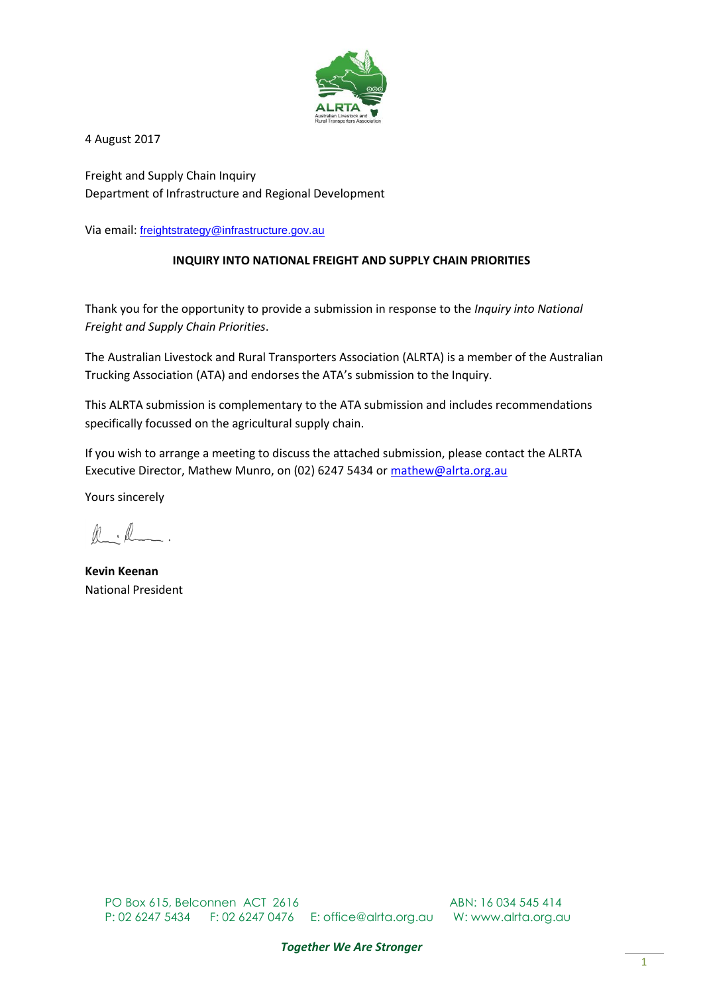

4 August 2017

Freight and Supply Chain Inquiry Department of Infrastructure and Regional Development

Via email: [freightstrategy@infrastructure.gov.au](mailto:freightstrategy@infrastructure.gov.au)

#### **INQUIRY INTO NATIONAL FREIGHT AND SUPPLY CHAIN PRIORITIES**

Thank you for the opportunity to provide a submission in response to the *Inquiry into National Freight and Supply Chain Priorities*.

The Australian Livestock and Rural Transporters Association (ALRTA) is a member of the Australian Trucking Association (ATA) and endorses the ATA's submission to the Inquiry.

This ALRTA submission is complementary to the ATA submission and includes recommendations specifically focussed on the agricultural supply chain.

If you wish to arrange a meeting to discuss the attached submission, please contact the ALRTA Executive Director, Mathew Munro, on (02) 6247 5434 or [mathew@alrta.org.au](mailto:mathew@alrta.org.au)

Yours sincerely

 $\mathbb{R}$  .  $\mathbb{R}$ 

**Kevin Keenan** National President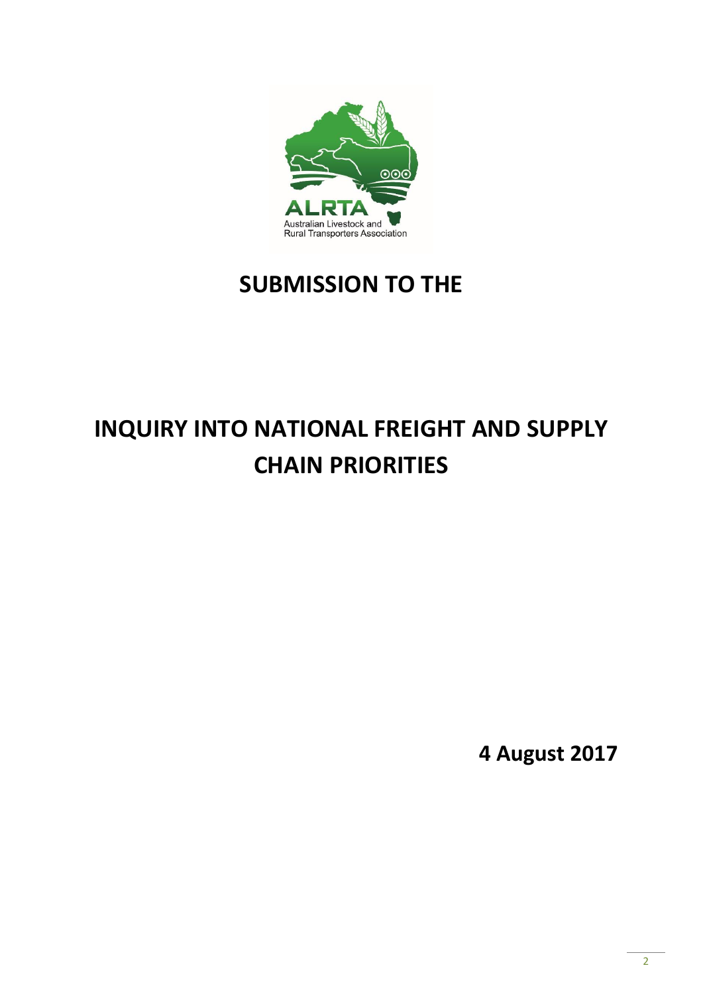

## **SUBMISSION TO THE**

# **INQUIRY INTO NATIONAL FREIGHT AND SUPPLY CHAIN PRIORITIES**

**4 August 2017**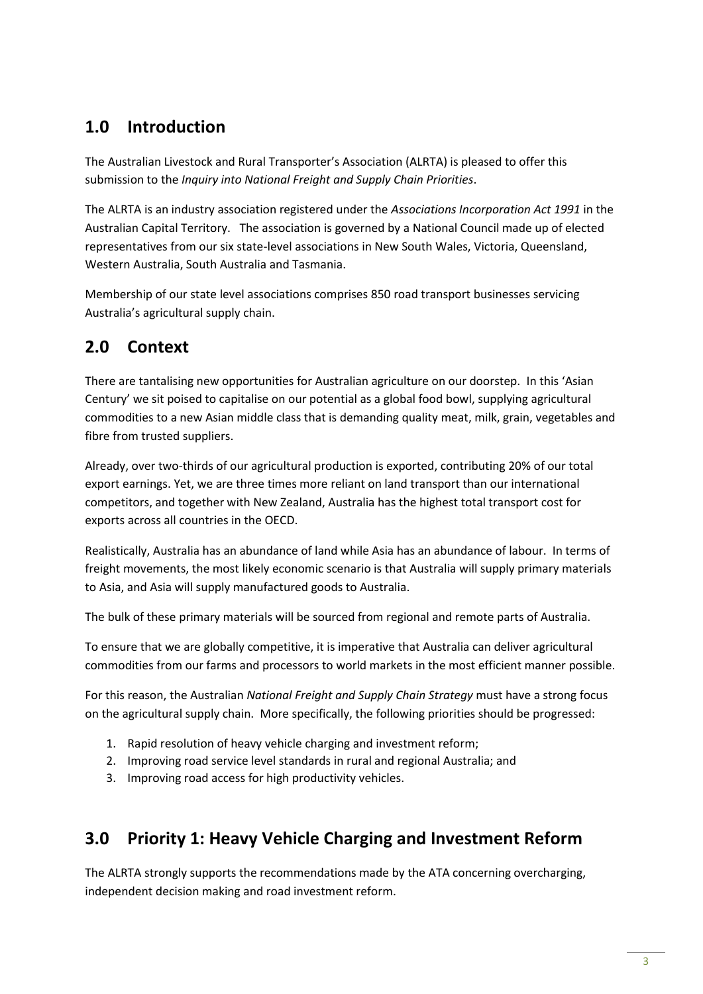## **1.0 Introduction**

The Australian Livestock and Rural Transporter's Association (ALRTA) is pleased to offer this submission to the *Inquiry into National Freight and Supply Chain Priorities*.

The ALRTA is an industry association registered under the *Associations Incorporation Act 1991* in the Australian Capital Territory. The association is governed by a National Council made up of elected representatives from our six state-level associations in New South Wales, Victoria, Queensland, Western Australia, South Australia and Tasmania.

Membership of our state level associations comprises 850 road transport businesses servicing Australia's agricultural supply chain.

## **2.0 Context**

There are tantalising new opportunities for Australian agriculture on our doorstep. In this 'Asian Century' we sit poised to capitalise on our potential as a global food bowl, supplying agricultural commodities to a new Asian middle class that is demanding quality meat, milk, grain, vegetables and fibre from trusted suppliers.

Already, over two-thirds of our agricultural production is exported, contributing 20% of our total export earnings. Yet, we are three times more reliant on land transport than our international competitors, and together with New Zealand, Australia has the highest total transport cost for exports across all countries in the OECD.

Realistically, Australia has an abundance of land while Asia has an abundance of labour. In terms of freight movements, the most likely economic scenario is that Australia will supply primary materials to Asia, and Asia will supply manufactured goods to Australia.

The bulk of these primary materials will be sourced from regional and remote parts of Australia.

To ensure that we are globally competitive, it is imperative that Australia can deliver agricultural commodities from our farms and processors to world markets in the most efficient manner possible.

For this reason, the Australian *National Freight and Supply Chain Strategy* must have a strong focus on the agricultural supply chain. More specifically, the following priorities should be progressed:

- 1. Rapid resolution of heavy vehicle charging and investment reform;
- 2. Improving road service level standards in rural and regional Australia; and
- 3. Improving road access for high productivity vehicles.

## **3.0 Priority 1: Heavy Vehicle Charging and Investment Reform**

The ALRTA strongly supports the recommendations made by the ATA concerning overcharging, independent decision making and road investment reform.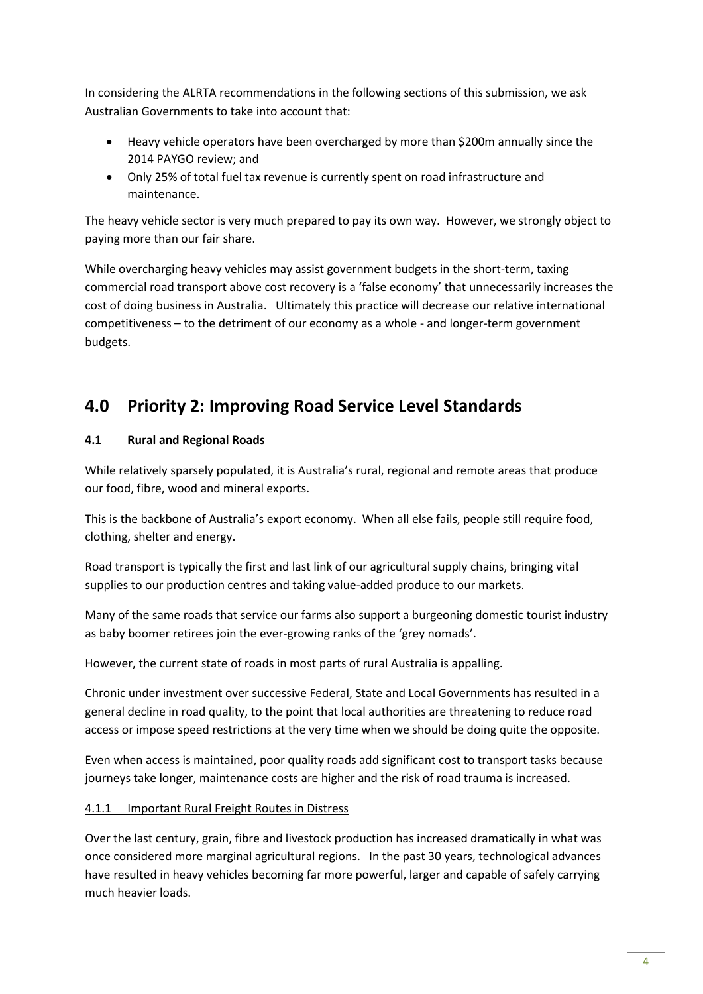In considering the ALRTA recommendations in the following sections of this submission, we ask Australian Governments to take into account that:

- Heavy vehicle operators have been overcharged by more than \$200m annually since the 2014 PAYGO review; and
- Only 25% of total fuel tax revenue is currently spent on road infrastructure and maintenance.

The heavy vehicle sector is very much prepared to pay its own way. However, we strongly object to paying more than our fair share.

While overcharging heavy vehicles may assist government budgets in the short-term, taxing commercial road transport above cost recovery is a 'false economy' that unnecessarily increases the cost of doing business in Australia. Ultimately this practice will decrease our relative international competitiveness – to the detriment of our economy as a whole - and longer-term government budgets.

## **4.0 Priority 2: Improving Road Service Level Standards**

#### **4.1 Rural and Regional Roads**

While relatively sparsely populated, it is Australia's rural, regional and remote areas that produce our food, fibre, wood and mineral exports.

This is the backbone of Australia's export economy. When all else fails, people still require food, clothing, shelter and energy.

Road transport is typically the first and last link of our agricultural supply chains, bringing vital supplies to our production centres and taking value-added produce to our markets.

Many of the same roads that service our farms also support a burgeoning domestic tourist industry as baby boomer retirees join the ever-growing ranks of the 'grey nomads'.

However, the current state of roads in most parts of rural Australia is appalling.

Chronic under investment over successive Federal, State and Local Governments has resulted in a general decline in road quality, to the point that local authorities are threatening to reduce road access or impose speed restrictions at the very time when we should be doing quite the opposite.

Even when access is maintained, poor quality roads add significant cost to transport tasks because journeys take longer, maintenance costs are higher and the risk of road trauma is increased.

#### 4.1.1 Important Rural Freight Routes in Distress

Over the last century, grain, fibre and livestock production has increased dramatically in what was once considered more marginal agricultural regions. In the past 30 years, technological advances have resulted in heavy vehicles becoming far more powerful, larger and capable of safely carrying much heavier loads.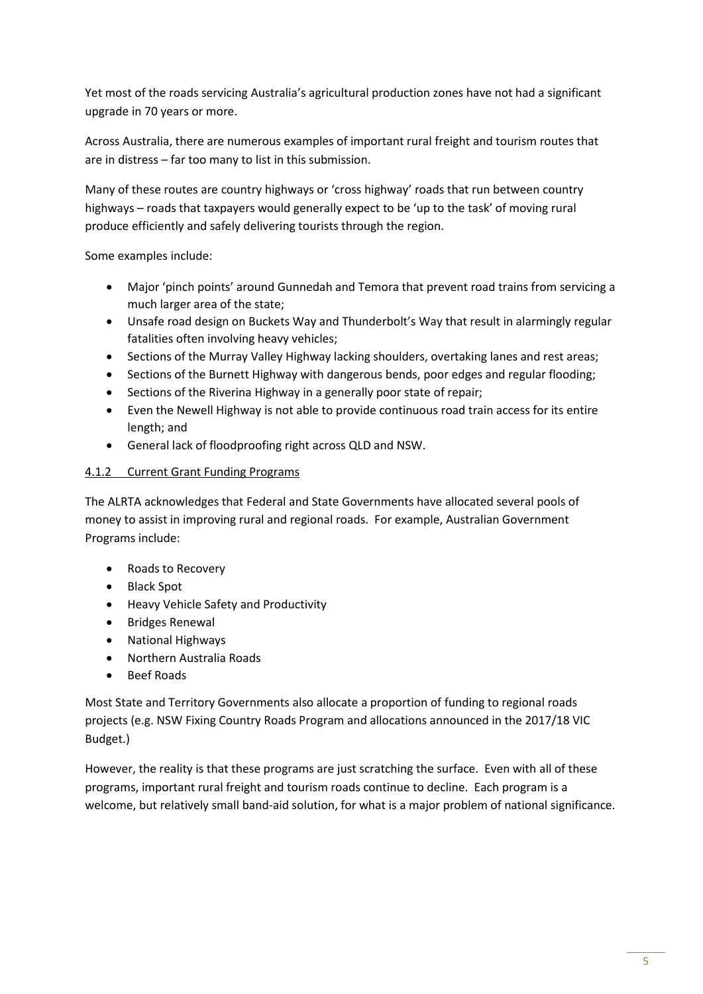Yet most of the roads servicing Australia's agricultural production zones have not had a significant upgrade in 70 years or more.

Across Australia, there are numerous examples of important rural freight and tourism routes that are in distress – far too many to list in this submission.

Many of these routes are country highways or 'cross highway' roads that run between country highways – roads that taxpayers would generally expect to be 'up to the task' of moving rural produce efficiently and safely delivering tourists through the region.

Some examples include:

- Major 'pinch points' around Gunnedah and Temora that prevent road trains from servicing a much larger area of the state;
- Unsafe road design on Buckets Way and Thunderbolt's Way that result in alarmingly regular fatalities often involving heavy vehicles;
- Sections of the Murray Valley Highway lacking shoulders, overtaking lanes and rest areas;
- Sections of the Burnett Highway with dangerous bends, poor edges and regular flooding;
- Sections of the Riverina Highway in a generally poor state of repair;
- Even the Newell Highway is not able to provide continuous road train access for its entire length; and
- General lack of floodproofing right across QLD and NSW.

#### 4.1.2 Current Grant Funding Programs

The ALRTA acknowledges that Federal and State Governments have allocated several pools of money to assist in improving rural and regional roads. For example, Australian Government Programs include:

- Roads to Recovery
- Black Spot
- Heavy Vehicle Safety and Productivity
- Bridges Renewal
- National Highways
- Northern Australia Roads
- Beef Roads

Most State and Territory Governments also allocate a proportion of funding to regional roads projects (e.g. NSW Fixing Country Roads Program and allocations announced in the 2017/18 VIC Budget.)

However, the reality is that these programs are just scratching the surface. Even with all of these programs, important rural freight and tourism roads continue to decline. Each program is a welcome, but relatively small band-aid solution, for what is a major problem of national significance.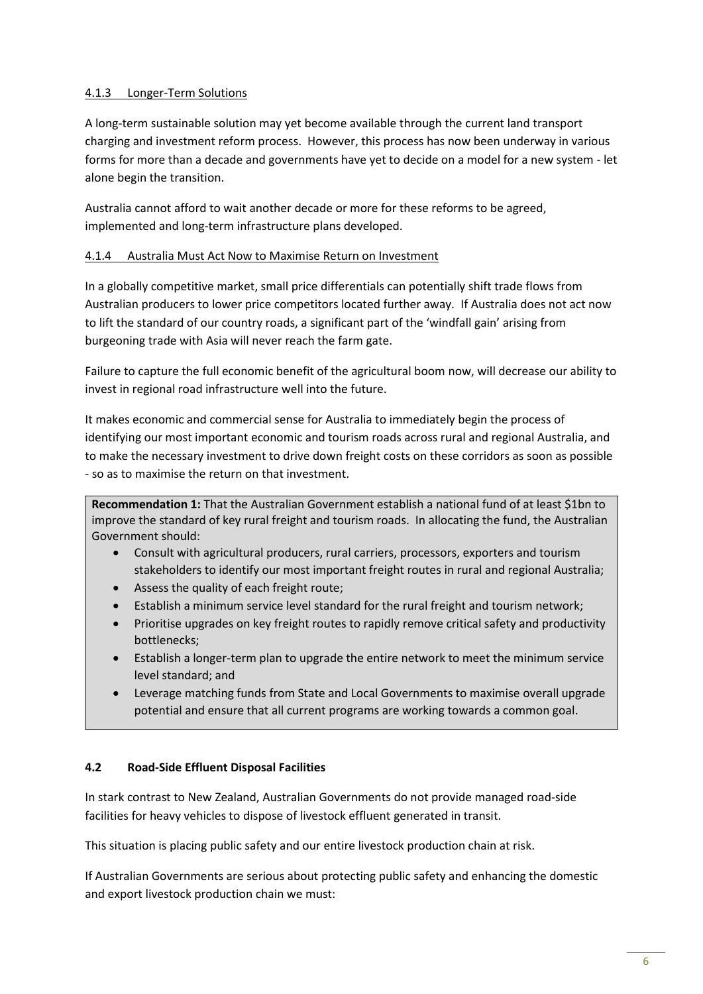#### 4.1.3 Longer-Term Solutions

A long-term sustainable solution may yet become available through the current land transport charging and investment reform process. However, this process has now been underway in various forms for more than a decade and governments have yet to decide on a model for a new system - let alone begin the transition.

Australia cannot afford to wait another decade or more for these reforms to be agreed, implemented and long-term infrastructure plans developed.

#### 4.1.4 Australia Must Act Now to Maximise Return on Investment

In a globally competitive market, small price differentials can potentially shift trade flows from Australian producers to lower price competitors located further away. If Australia does not act now to lift the standard of our country roads, a significant part of the 'windfall gain' arising from burgeoning trade with Asia will never reach the farm gate.

Failure to capture the full economic benefit of the agricultural boom now, will decrease our ability to invest in regional road infrastructure well into the future.

It makes economic and commercial sense for Australia to immediately begin the process of identifying our most important economic and tourism roads across rural and regional Australia, and to make the necessary investment to drive down freight costs on these corridors as soon as possible - so as to maximise the return on that investment.

**Recommendation 1:** That the Australian Government establish a national fund of at least \$1bn to improve the standard of key rural freight and tourism roads. In allocating the fund, the Australian Government should:

- Consult with agricultural producers, rural carriers, processors, exporters and tourism stakeholders to identify our most important freight routes in rural and regional Australia;
- Assess the quality of each freight route;
- Establish a minimum service level standard for the rural freight and tourism network;
- Prioritise upgrades on key freight routes to rapidly remove critical safety and productivity bottlenecks;
- Establish a longer-term plan to upgrade the entire network to meet the minimum service level standard; and
- Leverage matching funds from State and Local Governments to maximise overall upgrade potential and ensure that all current programs are working towards a common goal.

#### **4.2 Road-Side Effluent Disposal Facilities**

In stark contrast to New Zealand, Australian Governments do not provide managed road-side facilities for heavy vehicles to dispose of livestock effluent generated in transit.

This situation is placing public safety and our entire livestock production chain at risk.

If Australian Governments are serious about protecting public safety and enhancing the domestic and export livestock production chain we must: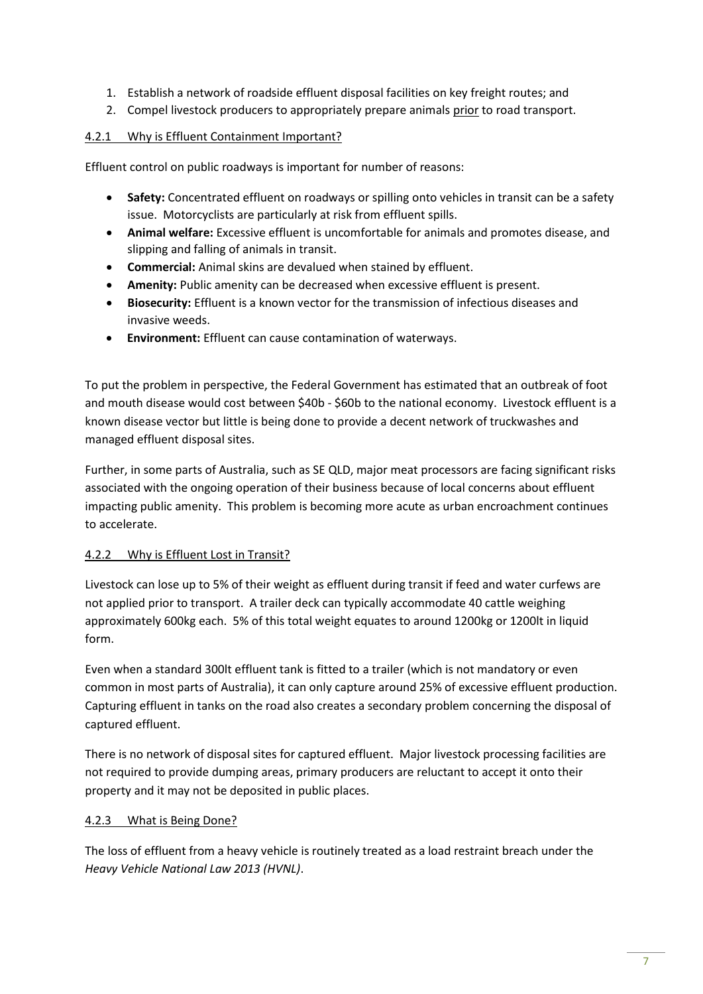- 1. Establish a network of roadside effluent disposal facilities on key freight routes; and
- 2. Compel livestock producers to appropriately prepare animals prior to road transport.

#### 4.2.1 Why is Effluent Containment Important?

Effluent control on public roadways is important for number of reasons:

- **Safety:** Concentrated effluent on roadways or spilling onto vehicles in transit can be a safety issue. Motorcyclists are particularly at risk from effluent spills.
- **Animal welfare:** Excessive effluent is uncomfortable for animals and promotes disease, and slipping and falling of animals in transit.
- **Commercial:** Animal skins are devalued when stained by effluent.
- **Amenity:** Public amenity can be decreased when excessive effluent is present.
- **Biosecurity:** Effluent is a known vector for the transmission of infectious diseases and invasive weeds.
- **Environment:** Effluent can cause contamination of waterways.

To put the problem in perspective, the Federal Government has estimated that an outbreak of foot and mouth disease would cost between \$40b - \$60b to the national economy. Livestock effluent is a known disease vector but little is being done to provide a decent network of truckwashes and managed effluent disposal sites.

Further, in some parts of Australia, such as SE QLD, major meat processors are facing significant risks associated with the ongoing operation of their business because of local concerns about effluent impacting public amenity. This problem is becoming more acute as urban encroachment continues to accelerate.

#### 4.2.2 Why is Effluent Lost in Transit?

Livestock can lose up to 5% of their weight as effluent during transit if feed and water curfews are not applied prior to transport. A trailer deck can typically accommodate 40 cattle weighing approximately 600kg each. 5% of this total weight equates to around 1200kg or 1200lt in liquid form.

Even when a standard 300lt effluent tank is fitted to a trailer (which is not mandatory or even common in most parts of Australia), it can only capture around 25% of excessive effluent production. Capturing effluent in tanks on the road also creates a secondary problem concerning the disposal of captured effluent.

There is no network of disposal sites for captured effluent. Major livestock processing facilities are not required to provide dumping areas, primary producers are reluctant to accept it onto their property and it may not be deposited in public places.

#### 4.2.3 What is Being Done?

The loss of effluent from a heavy vehicle is routinely treated as a load restraint breach under the *Heavy Vehicle National Law 2013 (HVNL)*.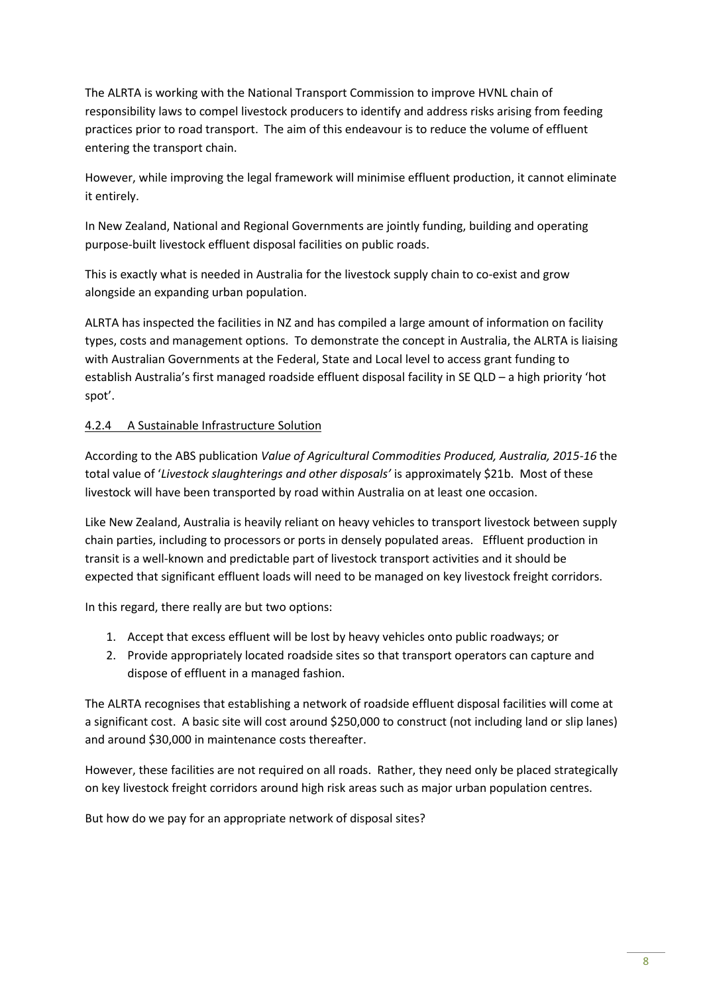The ALRTA is working with the National Transport Commission to improve HVNL chain of responsibility laws to compel livestock producers to identify and address risks arising from feeding practices prior to road transport. The aim of this endeavour is to reduce the volume of effluent entering the transport chain.

However, while improving the legal framework will minimise effluent production, it cannot eliminate it entirely.

In New Zealand, National and Regional Governments are jointly funding, building and operating purpose-built livestock effluent disposal facilities on public roads.

This is exactly what is needed in Australia for the livestock supply chain to co-exist and grow alongside an expanding urban population.

ALRTA has inspected the facilities in NZ and has compiled a large amount of information on facility types, costs and management options. To demonstrate the concept in Australia, the ALRTA is liaising with Australian Governments at the Federal, State and Local level to access grant funding to establish Australia's first managed roadside effluent disposal facility in SE QLD – a high priority 'hot spot'.

#### 4.2.4 A Sustainable Infrastructure Solution

According to the ABS publication *Value of Agricultural Commodities Produced, Australia, 2015-16* the total value of '*Livestock slaughterings and other disposals'* is approximately \$21b. Most of these livestock will have been transported by road within Australia on at least one occasion.

Like New Zealand, Australia is heavily reliant on heavy vehicles to transport livestock between supply chain parties, including to processors or ports in densely populated areas. Effluent production in transit is a well-known and predictable part of livestock transport activities and it should be expected that significant effluent loads will need to be managed on key livestock freight corridors.

In this regard, there really are but two options:

- 1. Accept that excess effluent will be lost by heavy vehicles onto public roadways; or
- 2. Provide appropriately located roadside sites so that transport operators can capture and dispose of effluent in a managed fashion.

The ALRTA recognises that establishing a network of roadside effluent disposal facilities will come at a significant cost. A basic site will cost around \$250,000 to construct (not including land or slip lanes) and around \$30,000 in maintenance costs thereafter.

However, these facilities are not required on all roads. Rather, they need only be placed strategically on key livestock freight corridors around high risk areas such as major urban population centres.

But how do we pay for an appropriate network of disposal sites?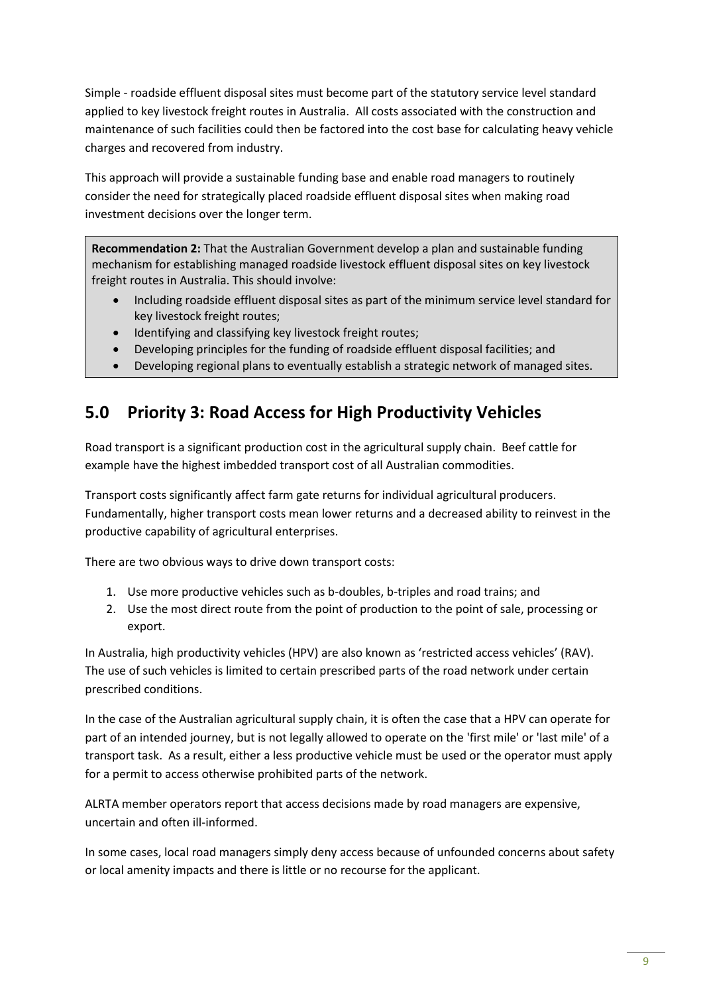Simple - roadside effluent disposal sites must become part of the statutory service level standard applied to key livestock freight routes in Australia. All costs associated with the construction and maintenance of such facilities could then be factored into the cost base for calculating heavy vehicle charges and recovered from industry.

This approach will provide a sustainable funding base and enable road managers to routinely consider the need for strategically placed roadside effluent disposal sites when making road investment decisions over the longer term.

**Recommendation 2:** That the Australian Government develop a plan and sustainable funding mechanism for establishing managed roadside livestock effluent disposal sites on key livestock freight routes in Australia. This should involve:

- Including roadside effluent disposal sites as part of the minimum service level standard for key livestock freight routes;
- Identifying and classifying key livestock freight routes;
- Developing principles for the funding of roadside effluent disposal facilities; and
- Developing regional plans to eventually establish a strategic network of managed sites.

## **5.0 Priority 3: Road Access for High Productivity Vehicles**

Road transport is a significant production cost in the agricultural supply chain. Beef cattle for example have the highest imbedded transport cost of all Australian commodities.

Transport costs significantly affect farm gate returns for individual agricultural producers. Fundamentally, higher transport costs mean lower returns and a decreased ability to reinvest in the productive capability of agricultural enterprises.

There are two obvious ways to drive down transport costs:

- 1. Use more productive vehicles such as b-doubles, b-triples and road trains; and
- 2. Use the most direct route from the point of production to the point of sale, processing or export.

In Australia, high productivity vehicles (HPV) are also known as 'restricted access vehicles' (RAV). The use of such vehicles is limited to certain prescribed parts of the road network under certain prescribed conditions.

In the case of the Australian agricultural supply chain, it is often the case that a HPV can operate for part of an intended journey, but is not legally allowed to operate on the 'first mile' or 'last mile' of a transport task. As a result, either a less productive vehicle must be used or the operator must apply for a permit to access otherwise prohibited parts of the network.

ALRTA member operators report that access decisions made by road managers are expensive, uncertain and often ill-informed.

In some cases, local road managers simply deny access because of unfounded concerns about safety or local amenity impacts and there is little or no recourse for the applicant.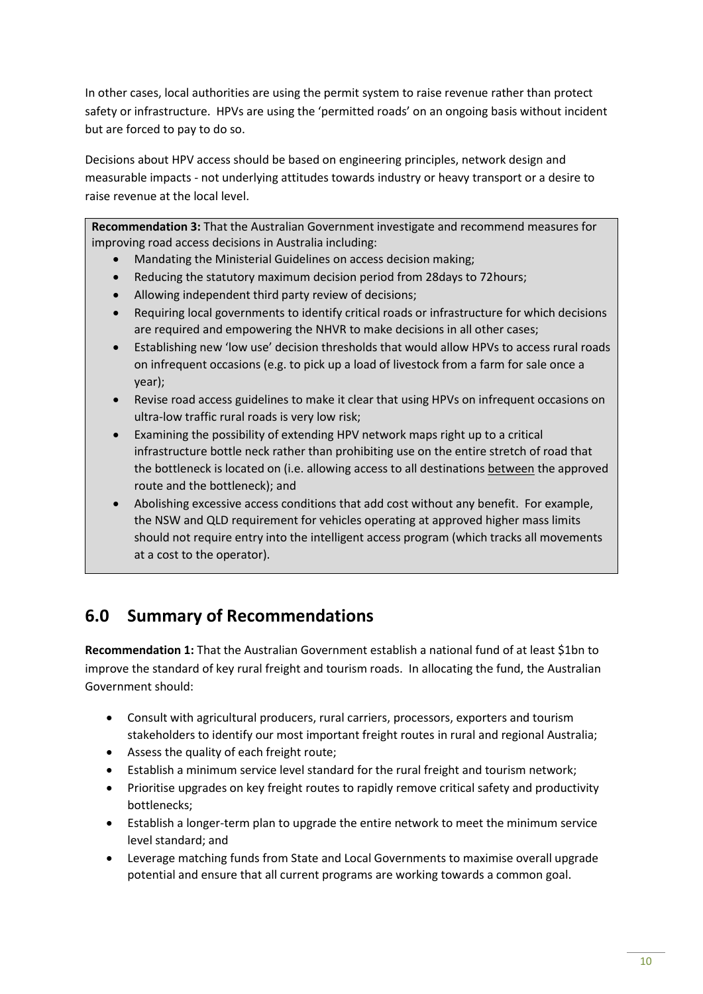In other cases, local authorities are using the permit system to raise revenue rather than protect safety or infrastructure. HPVs are using the 'permitted roads' on an ongoing basis without incident but are forced to pay to do so.

Decisions about HPV access should be based on engineering principles, network design and measurable impacts - not underlying attitudes towards industry or heavy transport or a desire to raise revenue at the local level.

**Recommendation 3:** That the Australian Government investigate and recommend measures for improving road access decisions in Australia including:

- Mandating the Ministerial Guidelines on access decision making;
- Reducing the statutory maximum decision period from 28days to 72hours;
- Allowing independent third party review of decisions;
- Requiring local governments to identify critical roads or infrastructure for which decisions are required and empowering the NHVR to make decisions in all other cases;
- Establishing new 'low use' decision thresholds that would allow HPVs to access rural roads on infrequent occasions (e.g. to pick up a load of livestock from a farm for sale once a year);
- Revise road access guidelines to make it clear that using HPVs on infrequent occasions on ultra-low traffic rural roads is very low risk;
- Examining the possibility of extending HPV network maps right up to a critical infrastructure bottle neck rather than prohibiting use on the entire stretch of road that the bottleneck is located on (i.e. allowing access to all destinations between the approved route and the bottleneck); and
- Abolishing excessive access conditions that add cost without any benefit. For example, the NSW and QLD requirement for vehicles operating at approved higher mass limits should not require entry into the intelligent access program (which tracks all movements at a cost to the operator).

## **6.0 Summary of Recommendations**

**Recommendation 1:** That the Australian Government establish a national fund of at least \$1bn to improve the standard of key rural freight and tourism roads. In allocating the fund, the Australian Government should:

- Consult with agricultural producers, rural carriers, processors, exporters and tourism stakeholders to identify our most important freight routes in rural and regional Australia;
- Assess the quality of each freight route;
- Establish a minimum service level standard for the rural freight and tourism network;
- Prioritise upgrades on key freight routes to rapidly remove critical safety and productivity bottlenecks;
- Establish a longer-term plan to upgrade the entire network to meet the minimum service level standard; and
- Leverage matching funds from State and Local Governments to maximise overall upgrade potential and ensure that all current programs are working towards a common goal.